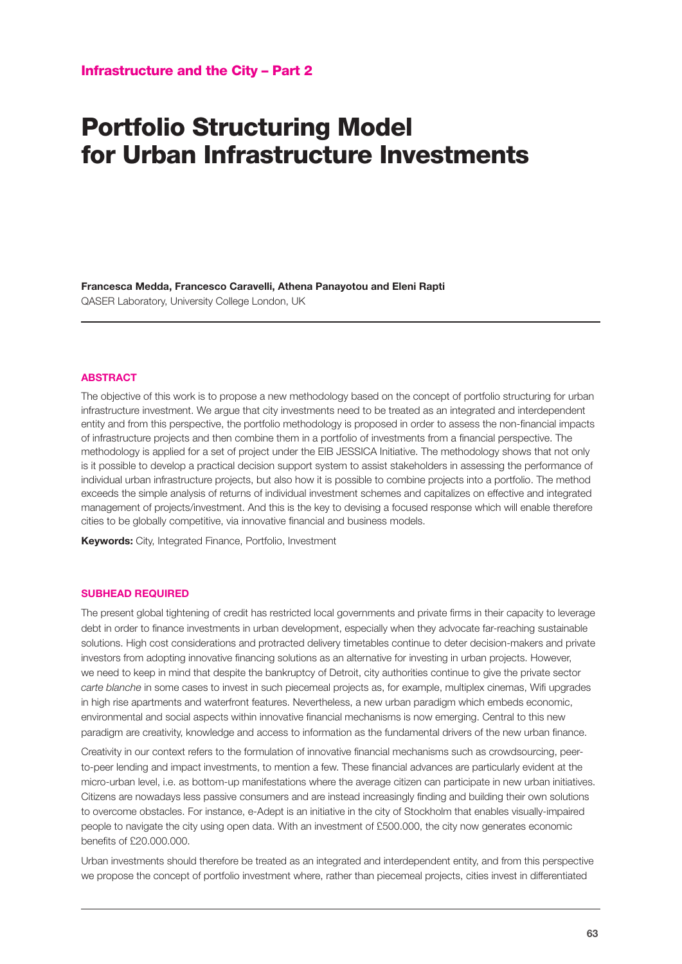## Portfolio Structuring Model for Urban Infrastructure Investments

**Francesca Medda, Francesco Caravelli, Athena Panayotou and Eleni Rapti** QASER Laboratory, University College London, UK

## **ABSTRACT**

The objective of this work is to propose a new methodology based on the concept of portfolio structuring for urban infrastructure investment. We argue that city investments need to be treated as an integrated and interdependent entity and from this perspective, the portfolio methodology is proposed in order to assess the non-financial impacts of infrastructure projects and then combine them in a portfolio of investments from a financial perspective. The methodology is applied for a set of project under the EIB JESSICA Initiative. The methodology shows that not only is it possible to develop a practical decision support system to assist stakeholders in assessing the performance of individual urban infrastructure projects, but also how it is possible to combine projects into a portfolio. The method exceeds the simple analysis of returns of individual investment schemes and capitalizes on effective and integrated management of projects/investment. And this is the key to devising a focused response which will enable therefore cities to be globally competitive, via innovative financial and business models.

**Keywords:** City, Integrated Finance, Portfolio, Investment

## **SUBHEAD REQUIRED**

The present global tightening of credit has restricted local governments and private firms in their capacity to leverage debt in order to finance investments in urban development, especially when they advocate far-reaching sustainable solutions. High cost considerations and protracted delivery timetables continue to deter decision-makers and private investors from adopting innovative financing solutions as an alternative for investing in urban projects. However, we need to keep in mind that despite the bankruptcy of Detroit, city authorities continue to give the private sector *carte blanche* in some cases to invest in such piecemeal projects as, for example, multiplex cinemas, Wifi upgrades in high rise apartments and waterfront features. Nevertheless, a new urban paradigm which embeds economic, environmental and social aspects within innovative financial mechanisms is now emerging. Central to this new paradigm are creativity, knowledge and access to information as the fundamental drivers of the new urban finance.

Creativity in our context refers to the formulation of innovative financial mechanisms such as crowdsourcing, peerto-peer lending and impact investments, to mention a few. These financial advances are particularly evident at the micro-urban level, i.e. as bottom-up manifestations where the average citizen can participate in new urban initiatives. Citizens are nowadays less passive consumers and are instead increasingly finding and building their own solutions to overcome obstacles. For instance, e-Adept is an initiative in the city of Stockholm that enables visually-impaired people to navigate the city using open data. With an investment of £500.000, the city now generates economic benefits of £20.000.000.

Urban investments should therefore be treated as an integrated and interdependent entity, and from this perspective we propose the concept of portfolio investment where, rather than piecemeal projects, cities invest in differentiated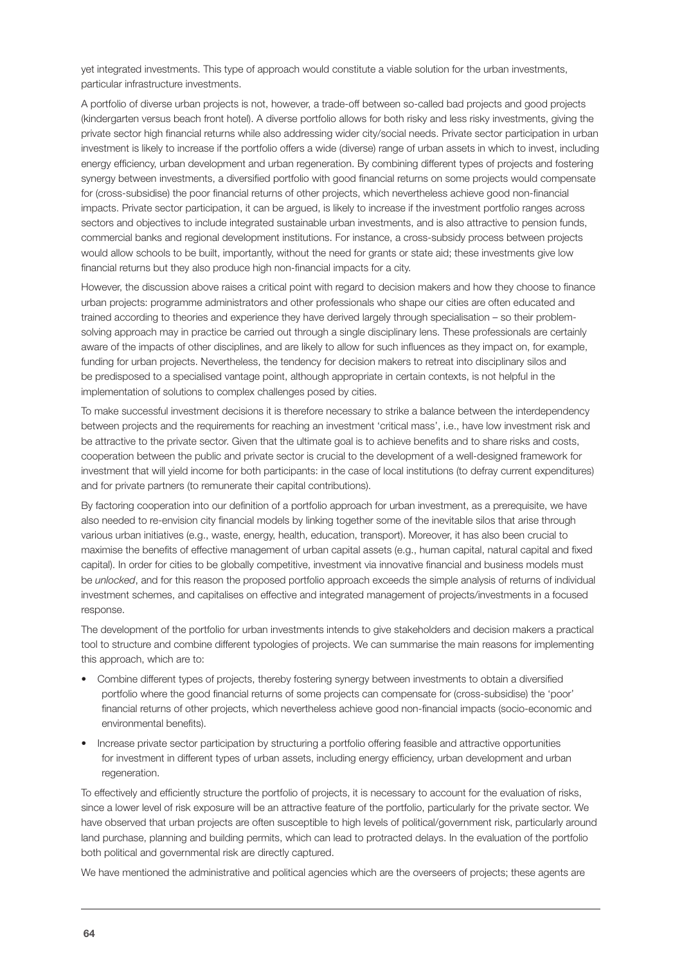yet integrated investments. This type of approach would constitute a viable solution for the urban investments, particular infrastructure investments.

A portfolio of diverse urban projects is not, however, a trade-off between so-called bad projects and good projects (kindergarten versus beach front hotel). A diverse portfolio allows for both risky and less risky investments, giving the private sector high financial returns while also addressing wider city/social needs. Private sector participation in urban investment is likely to increase if the portfolio offers a wide (diverse) range of urban assets in which to invest, including energy efficiency, urban development and urban regeneration. By combining different types of projects and fostering synergy between investments, a diversified portfolio with good financial returns on some projects would compensate for (cross-subsidise) the poor financial returns of other projects, which nevertheless achieve good non-financial impacts. Private sector participation, it can be argued, is likely to increase if the investment portfolio ranges across sectors and objectives to include integrated sustainable urban investments, and is also attractive to pension funds, commercial banks and regional development institutions. For instance, a cross-subsidy process between projects would allow schools to be built, importantly, without the need for grants or state aid; these investments give low financial returns but they also produce high non-financial impacts for a city.

However, the discussion above raises a critical point with regard to decision makers and how they choose to finance urban projects: programme administrators and other professionals who shape our cities are often educated and trained according to theories and experience they have derived largely through specialisation – so their problemsolving approach may in practice be carried out through a single disciplinary lens. These professionals are certainly aware of the impacts of other disciplines, and are likely to allow for such influences as they impact on, for example, funding for urban projects. Nevertheless, the tendency for decision makers to retreat into disciplinary silos and be predisposed to a specialised vantage point, although appropriate in certain contexts, is not helpful in the implementation of solutions to complex challenges posed by cities.

To make successful investment decisions it is therefore necessary to strike a balance between the interdependency between projects and the requirements for reaching an investment 'critical mass', i.e., have low investment risk and be attractive to the private sector. Given that the ultimate goal is to achieve benefits and to share risks and costs, cooperation between the public and private sector is crucial to the development of a well-designed framework for investment that will yield income for both participants: in the case of local institutions (to defray current expenditures) and for private partners (to remunerate their capital contributions).

By factoring cooperation into our definition of a portfolio approach for urban investment, as a prerequisite, we have also needed to re-envision city financial models by linking together some of the inevitable silos that arise through various urban initiatives (e.g., waste, energy, health, education, transport). Moreover, it has also been crucial to maximise the benefits of effective management of urban capital assets (e.g., human capital, natural capital and fixed capital). In order for cities to be globally competitive, investment via innovative financial and business models must be *unlocked*, and for this reason the proposed portfolio approach exceeds the simple analysis of returns of individual investment schemes, and capitalises on effective and integrated management of projects/investments in a focused response.

The development of the portfolio for urban investments intends to give stakeholders and decision makers a practical tool to structure and combine different typologies of projects. We can summarise the main reasons for implementing this approach, which are to:

- Combine different types of projects, thereby fostering synergy between investments to obtain a diversified portfolio where the good financial returns of some projects can compensate for (cross-subsidise) the 'poor' financial returns of other projects, which nevertheless achieve good non-financial impacts (socio-economic and environmental benefits).
- Increase private sector participation by structuring a portfolio offering feasible and attractive opportunities for investment in different types of urban assets, including energy efficiency, urban development and urban regeneration.

To effectively and efficiently structure the portfolio of projects, it is necessary to account for the evaluation of risks, since a lower level of risk exposure will be an attractive feature of the portfolio, particularly for the private sector. We have observed that urban projects are often susceptible to high levels of political/government risk, particularly around land purchase, planning and building permits, which can lead to protracted delays. In the evaluation of the portfolio both political and governmental risk are directly captured.

We have mentioned the administrative and political agencies which are the overseers of projects; these agents are